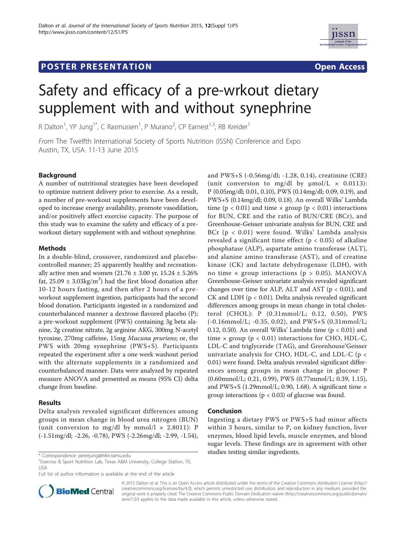# **POSTER PRESENTATION CONSUMING THE SERVICE SERVICE SERVICE SERVICES**



# Safety and efficacy of a pre-wrkout dietary supplement with and without synephrine

R Dalton<sup>1</sup>, YP Jung<sup>1\*</sup>, C Rasmussen<sup>1</sup>, P Murano<sup>2</sup>, CP Earnest<sup>1,3</sup>, RB Kreider<sup>1</sup>

From The Twelfth International Society of Sports Nutrition (ISSN) Conference and Expo Austin, TX, USA. 11-13 June 2015

# Background

A number of nutritional strategies have been developed to optimize nutrient delivery prior to exercise. As a result, a number of pre-workout supplements have been developed to increase energy availability, promote vasodilation, and/or positively affect exercise capacity. The purpose of this study was to examine the safety and efficacy of a preworkout dietary supplement with and without synephrine.

# Methods

In a double-blind, crossover, randomized and placebocontrolled manner; 25 apparently healthy and recreationally active men and women  $(21.76 \pm 3.00 \text{ yr}, 15.24 \pm 5.26\%)$ fat, 25.09  $\pm$  3.03kg/m<sup>2</sup>) had the first blood donation after 10-12 hours fasting, and then after 2 hours of a preworkout supplement ingestion, participants had the second blood donation. Participants ingested in a randomized and counterbalanced manner a dextrose flavored placebo (P); a pre-workout supplement (PWS) containing 3g beta alanine, 2g creatine nitrate, 2g arginine AKG, 300mg N-acetyl tyrosine, 270mg caffeine, 15mg Mucuna pruriens; or, the PWS with 20mg synephrine (PWS+S). Participants repeated the experiment after a one week washout period with the alternate supplements in a randomized and counterbalanced manner. Data were analyzed by repeated measure ANOVA and presented as means (95% CI) delta change from baseline.

# Results

Delta analysis revealed significant differences among groups in mean change in blood urea nitrogen (BUN) (unit conversion to mg/dl by mmol/l  $\times$  2.8011): P (-1.51mg/dl; -2.26, -0.78), PWS (-2.26mg/dl; -2.99, -1.54),

<sup>1</sup> Exercise & Sport Nutrition Lab, Texas A&M University, College Station, TX, USA

Full list of author information is available at the end of the article



and PWS+S (-0.56mg/dl; -1.28, 0.14), creatinine (CRE) (unit conversion to mg/dl by  $\mu$ mol/L  $\times$  0.0113): P (0.05mg/dl; 0.01, 0.10), PWS (0.14mg/dl; 0.09, 0.19), and PWS+S (0.14mg/dl; 0.09, 0.18). An overall Wilks' Lambda time ( $p < 0.01$ ) and time  $\times$  group ( $p < 0.01$ ) interactions for BUN, CRE and the ratio of BUN/CRE (BCr), and Greenhouse-Geisser univariate analysis for BUN, CRE and BCr (p < 0.01) were found. Wilks' Lambda analysis revealed a significant time effect ( $p < 0.05$ ) of alkaline phosphatase (ALP), aspartate amino transferase (ALT), and alanine amino transferase (AST), and of creatine kinase (CK) and lactate dehydrogenase (LDH), with no time  $\times$  group interactions ( $p > 0.05$ ). MANOVA Greenhouse-Geisser univariate analysis revealed significant changes over time for ALP, ALT and AST ( $p < 0.01$ ), and CK and LDH (p < 0.01). Delta analysis revealed significant differences among groups in mean change in total cholesterol (CHOL): P (0.31mmol/L; 0.12, 0.50), PWS (-0.16mmol/L; -0.35, 0.02), and PWS+S (0.31mmol/L; 0.12, 0.50). An overall Wilks' Lambda time ( $p < 0.01$ ) and time  $\times$  group ( $p < 0.01$ ) interactions for CHO, HDL-C, LDL-C and triglyceride (TAG), and Greenhouse'Geisser univariate analysis for CHO, HDL-C, and LDL-C (p < 0.01) were found. Delta analysis revealed significant differences among groups in mean change in glucose: P (0.60mmol/L; 0.21, 0.99), PWS (0.77mmol/L; 0.39, 1.15), and PWS+S (1.29mmol/L; 0.90, 1.68). A significant time  $\times$ group interactions ( $p < 0.03$ ) of glucose was found.

### Conclusion

Ingesting a dietary PWS or PWS+S had minor affects within 3 hours, similar to P, on kidney function, liver enzymes, blood lipid levels, muscle enzymes, and blood sugar levels. These findings are in agreement with other studies testing similar ingredients. \* Correspondence: peterjung@hlkn.tamu.edu

> © 2015 Dalton et al. This is an Open Access article distributed under the terms of the Creative Commons Attribution License (http:// creativecommons.org/licenses/by/4.0), which permits unrestricted use, distribution, and reproduction in any medium, provided the original work is properly cited. The Creative Commons Public Domain Dedication waiver (http://creativecommons.org/publicdomain/ zero/1.0/) applies to the data made available in this article, unless otherwise stated.